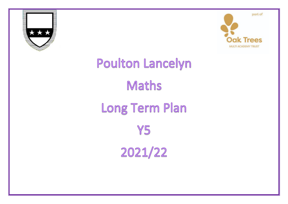



## Poulton Lancelyn Maths Long Term Plan Y5 2021/22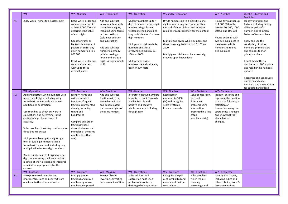|     | W1                                                                                                                                                                                                                                                                                                                                                                                                                                                                                                                                                                                                                                                                              | W2 - Number                                                                                                                                                                                                                                                                                                | W3 - Operations                                                                                                                                                                                                                                                                  | W4 - Operation                                                                                                                                                                                                                                                                                                                         | W5 and 6 - Operation                                                                                                                                                                                                                                                                                                                   |                                                                                                                                 | W7 - Number                                                                                                                                                                                           | Week 8 - Factors and<br><b>Multiples</b>                                                                                                                                                                                                                                                                                                                                                                                                      |
|-----|---------------------------------------------------------------------------------------------------------------------------------------------------------------------------------------------------------------------------------------------------------------------------------------------------------------------------------------------------------------------------------------------------------------------------------------------------------------------------------------------------------------------------------------------------------------------------------------------------------------------------------------------------------------------------------|------------------------------------------------------------------------------------------------------------------------------------------------------------------------------------------------------------------------------------------------------------------------------------------------------------|----------------------------------------------------------------------------------------------------------------------------------------------------------------------------------------------------------------------------------------------------------------------------------|----------------------------------------------------------------------------------------------------------------------------------------------------------------------------------------------------------------------------------------------------------------------------------------------------------------------------------------|----------------------------------------------------------------------------------------------------------------------------------------------------------------------------------------------------------------------------------------------------------------------------------------------------------------------------------------|---------------------------------------------------------------------------------------------------------------------------------|-------------------------------------------------------------------------------------------------------------------------------------------------------------------------------------------------------|-----------------------------------------------------------------------------------------------------------------------------------------------------------------------------------------------------------------------------------------------------------------------------------------------------------------------------------------------------------------------------------------------------------------------------------------------|
| A1  | 2 day week - times table assessment                                                                                                                                                                                                                                                                                                                                                                                                                                                                                                                                                                                                                                             | Read, write, order and<br>compare numbers to<br>at least 1 000 000 and<br>determine the value<br>of each digit<br>Count forwards or<br>backwards in steps of<br>powers of 10 for any<br>given number up to 1<br>000 000<br>Read, write, order and<br>compare numbers<br>with up to three<br>decimal places | Add and subtract<br>whole numbers with<br>more than 4 digits,<br>including using formal<br>written methods<br>(columnar addition<br>and subtraction)<br>Add and subtract<br>numbers mentally<br>with increasingly<br>large numbers eg 5-<br>$digit - 4$ -digit multiple<br>of 10 | Multiply numbers up to 4<br>digits by a one- or two-digit<br>number using a formal<br>written method, including<br>long multiplication for two-<br>digit numbers<br>Multiply and divide whole<br>numbers and those<br>involving decimals by 10,<br>100 and 1000<br>Multiply and divide<br>numbers mentally drawing<br>upon known facts | Divide numbers up to 4 digits by a one-<br>digit number using the formal written<br>method of short division and interpret<br>remainders appropriately for the context<br>Multiply and divide whole numbers and<br>those involving decimals by 10, 100 and<br>1000<br>Multiply and divide numbers mentally<br>drawing upon known facts |                                                                                                                                 | Round any number up<br>to 1 000 000 to the<br>nearest 10, 100, 1000,<br>10 000 and 100 000<br>Round decimals with<br>two decimal places to<br>the nearest whole<br>number and to one<br>decimal place | Identify multiples and<br>factors, including finding<br>all factor pairs of a<br>number, and common<br>factors of two numbers<br>Know and use the<br>vocabulary of prime<br>numbers, prime factors<br>and composite (non-<br>prime) numbers<br>Establish whether a<br>number up to 100 is prime<br>and recall prime numbers<br>up to 19<br>Recognise and use square<br>numbers and cube<br>numbers, and the notation<br>for squared and cubed |
|     | W1 - Operation                                                                                                                                                                                                                                                                                                                                                                                                                                                                                                                                                                                                                                                                  | W <sub>2</sub> - Fractions                                                                                                                                                                                                                                                                                 | W3 - Fractions                                                                                                                                                                                                                                                                   | W4 - Number                                                                                                                                                                                                                                                                                                                            | W5 - Number                                                                                                                                                                                                                                                                                                                            | $W6 - Statistics$                                                                                                               | W7 - Geometry                                                                                                                                                                                         |                                                                                                                                                                                                                                                                                                                                                                                                                                               |
| A2  | Add and subtract whole numbers with<br>more than 4 digits, including using<br>formal written methods (columnar<br>addition and subtraction)<br>Use rounding to check answers to<br>calculations and determine, in the<br>context of a problem, levels of<br>accuracy<br>Solve problems involving number up to<br>three decimal places<br>Multiply numbers up to 4 digits by a<br>one- or two-digit number using a<br>formal written method, including long<br>multiplication for two-digit numbers<br>Divide numbers up to 4 digits by a one-<br>digit number using the formal written<br>method of short division and interpret<br>remainders appropriately for the<br>context | Identify, name and<br>write equivalent<br>fractions of a given<br>fraction, represented<br>visually, including<br>tenths and<br>hundredths<br>Compare and order<br>fractions whose<br>denominators are all<br>multiples of the same<br>number (less than<br>one)                                           | Add and subtract<br>fractions with the<br>same denominator<br>and denominators<br>that are multiples of<br>the same number                                                                                                                                                       | Interpret negative numbers<br>in context, count forwards<br>and backwards with<br>positive and negative<br>whole numbers, including<br>through zero                                                                                                                                                                                    | Read Roman<br>numerals to 1000<br>(M) and recognise<br>years written in<br>Roman numerals.                                                                                                                                                                                                                                             | Solve comparison,<br>sum and<br>difference<br>problems using<br>information<br>presented in a line<br>graph<br>(and bar charts) | Identify, describe and<br>represent the position<br>of a shape following a<br>reflection or<br>translation, using the<br>appropriate language,<br>and know that the<br>shape has not<br>changed.      |                                                                                                                                                                                                                                                                                                                                                                                                                                               |
|     | W1 - Fractions                                                                                                                                                                                                                                                                                                                                                                                                                                                                                                                                                                                                                                                                  | W2 - Fractions                                                                                                                                                                                                                                                                                             | W3 - Measure                                                                                                                                                                                                                                                                     | W4 - Operations                                                                                                                                                                                                                                                                                                                        | W5 - Fractions                                                                                                                                                                                                                                                                                                                         | W6 - Fractions                                                                                                                  | W7 - Geometry                                                                                                                                                                                         |                                                                                                                                                                                                                                                                                                                                                                                                                                               |
| Sp1 | Recognise mixed numbers and<br>improper fractions and convert from<br>one form to the other and write                                                                                                                                                                                                                                                                                                                                                                                                                                                                                                                                                                           | Multiply proper<br>fractions and mixed<br>numbers by whole<br>numbers, supported                                                                                                                                                                                                                           | Solve problems<br>involving converting<br>between units of time                                                                                                                                                                                                                  | Solve addition and<br>subtraction multi-step<br>problems in contexts,<br>deciding which operations                                                                                                                                                                                                                                     | Recognise the per<br>cent symbol (%) and<br>understand that per<br>cent relates to                                                                                                                                                                                                                                                     | Solve problems<br>which require<br>knowing<br>percentage and                                                                    | Identify 3-D shapes,<br>including cubes and<br>other cuboids, from 2-<br>D representations                                                                                                            |                                                                                                                                                                                                                                                                                                                                                                                                                                               |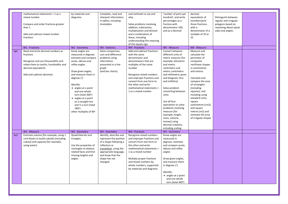|                 | mathematical statements > 1 as a<br>mixed number<br>Compare and order fractions greater<br>than 1<br>Add and subtract mixed number<br>fractions                                  | by materials and<br>diagrams                                                                                                                                                                                                                                                                                                                                           | Complete, read and<br>interpret information<br>in tables, including<br>timetables.                                                                                                               | and methods to use and<br>why.<br>Solve problems involving<br>addition, subtraction,<br>multiplication and division<br>and a combination of<br>these, including<br>understanding the meaning<br>of the equals sign                                                                         | 'number of parts per<br>hundred', and write<br>percentages as a<br>fraction with<br>denominator 100,<br>and as a decimal                                                                                                                                                                                                                                                                                                               | decimal<br>equivalents of<br>(numbers)and<br>those fractions<br>with a<br>denominator of a<br>multiple of 10 or<br>25                                                                                                                                                                                                                                  | Distinguish between<br>regular and irregular<br>polygons based on<br>reasoning about equal<br>sides and angles. |  |
|-----------------|----------------------------------------------------------------------------------------------------------------------------------------------------------------------------------|------------------------------------------------------------------------------------------------------------------------------------------------------------------------------------------------------------------------------------------------------------------------------------------------------------------------------------------------------------------------|--------------------------------------------------------------------------------------------------------------------------------------------------------------------------------------------------|--------------------------------------------------------------------------------------------------------------------------------------------------------------------------------------------------------------------------------------------------------------------------------------------|----------------------------------------------------------------------------------------------------------------------------------------------------------------------------------------------------------------------------------------------------------------------------------------------------------------------------------------------------------------------------------------------------------------------------------------|--------------------------------------------------------------------------------------------------------------------------------------------------------------------------------------------------------------------------------------------------------------------------------------------------------------------------------------------------------|-----------------------------------------------------------------------------------------------------------------|--|
|                 | <b>W1</b> - Fractions                                                                                                                                                            | W2 - Geometry                                                                                                                                                                                                                                                                                                                                                          | W3 - Statistics                                                                                                                                                                                  | W4 - Fractions                                                                                                                                                                                                                                                                             | W5 - Measure                                                                                                                                                                                                                                                                                                                                                                                                                           | W6 - Measure                                                                                                                                                                                                                                                                                                                                           |                                                                                                                 |  |
| Sp <sub>2</sub> | Read and write decimal numbers as<br>fractions<br>Recognise and use thousandths and<br>relate them to tenths, hundredths and<br>decimal equivalents<br>Add and subtract decimals | Know angles are<br>measured in degrees:<br>estimate and compare<br>acute, obtuse and<br>reflex angles<br>Draw given angles,<br>and measure them in<br>degrees $(°)$<br>Identify:<br>• angles at a point<br>and one whole<br>turn (total 360°)<br>• angles at a point<br>on a straight line<br>and $\frac{1}{2}$ a turn (total<br>$180^\circ$<br>other multiples of 90° | Solve comparison,<br>sum and difference<br>problems using<br>information<br>presented in a line<br>graph<br>(and bar charts)                                                                     | Add and subtract fractions<br>with the same<br>denominator and<br>denominators that are<br>multiples of the same<br>number<br>Recognise mixed numbers<br>and improper fractions and<br>convert from one form to<br>the other and write<br>mathematical statements ><br>1 as a mixed number | Convert between<br>different units of<br>metric measure (for<br>example, kilometre<br>and metre;<br>centimetre and<br>metre; centimetre<br>and millimetre; gram<br>and kilogram; litre<br>and millilitre)<br>Solve problem<br>converting between<br>units<br>Use all four<br>operations to solve<br>problems involving<br>measure [for<br>example, length,<br>mass, volume,<br>money] using<br>decimal notation,<br>including scaling. | Measure and<br>calculate the<br>perimeter of<br>composite<br>rectilinear shapes<br>in centimetres<br>and metres<br>Calculate and<br>compare the area<br>of rectangles<br>(including<br>squares), and<br>including using<br>standard units,<br>square<br>centimetres (cm2)<br>and square<br>metres (m2) and<br>estimate the area<br>of irregular shapes |                                                                                                                 |  |
|                 | W1 - Measure                                                                                                                                                                     | W2 - Geometry                                                                                                                                                                                                                                                                                                                                                          | W3 - Geometry                                                                                                                                                                                    | W4 - Fractions                                                                                                                                                                                                                                                                             | W5 - Geometry                                                                                                                                                                                                                                                                                                                                                                                                                          |                                                                                                                                                                                                                                                                                                                                                        |                                                                                                                 |  |
| Su1             | Estimate volume [for example, using 1<br>cm3 blocks to build cuboids (including<br>cubes)] and capacity [for example,<br>using water]                                            | Quadrilaterals and<br>triangles<br>Use the properties of<br>rectangles to deduce<br>related facts and find<br>missing lengths and<br>angles                                                                                                                                                                                                                            | Identify, describe and<br>represent the position<br>of a shape following a<br>reflection or<br>translation, using the<br>appropriate language,<br>and know that the<br>shape has not<br>changed. | Recognise mixed numbers<br>and improper fractions and<br>convert from one form to<br>the other and write<br>mathematical statements ><br>1 as a mixed number<br>Multiply proper fractions<br>and mixed numbers by<br>whole numbers, supported<br>by materials and diagrams                 | Know angles are<br>measured in<br>degrees: estimate<br>and compare acute,<br>obtuse and reflex<br>angles<br>Draw given angles,<br>and measure them<br>in degrees $(°)$<br>Identify:<br>• angles at a point<br>and one whole<br>turn (total 360°)                                                                                                                                                                                       |                                                                                                                                                                                                                                                                                                                                                        |                                                                                                                 |  |